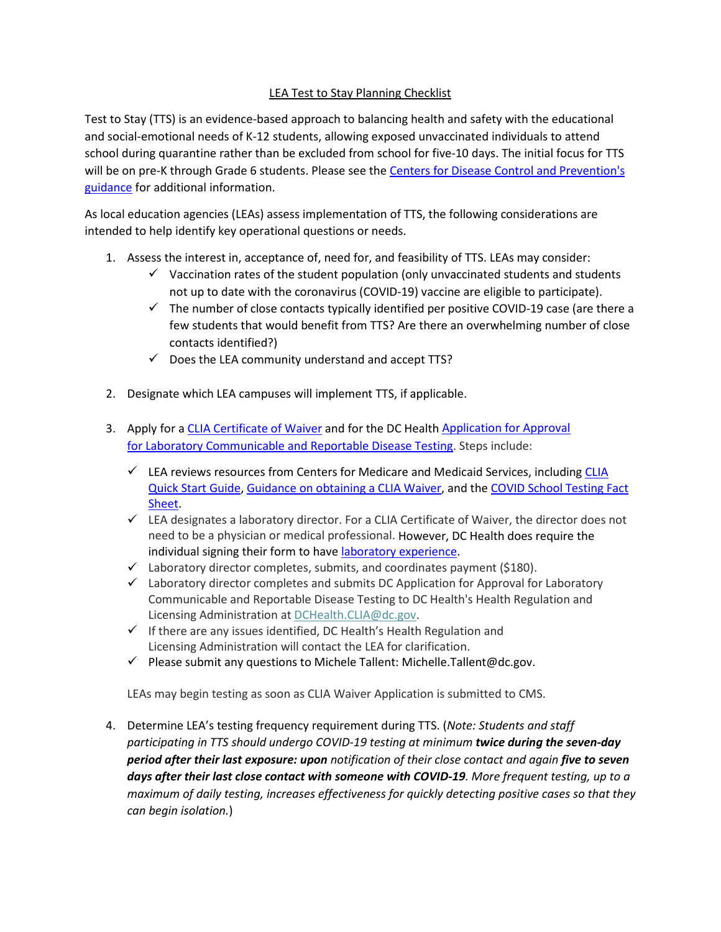## LEA Test to Stay Planning Checklist

Test to Stay (TTS) is an evidence-based approach to balancing health and safety with the educational and social-emotional needs of K-12 students, allowing exposed unvaccinated individuals to attend school during quarantine rather than be excluded from school for five-10 days. The initial focus for TTS will be on pre-K through Grade 6 students. Please see the [Centers for Disease Control and Prevention's](https://www.cdc.gov/coronavirus/2019-ncov/community/schools-childcare/what-you-should-know.html#anchor_1642695652184)  [guidance](https://www.cdc.gov/coronavirus/2019-ncov/community/schools-childcare/what-you-should-know.html#anchor_1642695652184) for additional information.

As local education agencies (LEAs) assess implementation of TTS, the following considerations are intended to help identify key operational questions or needs.

- 1. Assess the interest in, acceptance of, need for, and feasibility of TTS. LEAs may consider:
	- $\checkmark$  Vaccination rates of the student population (only unvaccinated students and students not up to date with the coronavirus (COVID-19) vaccine are eligible to participate).
	- $\checkmark$  The number of close contacts typically identified per positive COVID-19 case (are there a few students that would benefit from TTS? Are there an overwhelming number of close contacts identified?)
	- $\checkmark$  Does the LEA community understand and accept TTS?
- 2. Designate which LEA campuses will implement TTS, if applicable.
- 3. Apply for a [CLIA Certificate of Waiver](https://www.cms.gov/Medicare/CMS-Forms/CMS-Forms/downloads/cms116.pdf) and for the DC Healt[h Application for Approval](https://dchealth.dc.gov/sites/default/files/dc/sites/doh/page_content/attachments/Laboratory%20for%20Communicable%20and%20Reportable%20Disease%20Application.pdf)  for [Laboratory Communicable and Reportable Disease Testing.](https://dchealth.dc.gov/sites/default/files/dc/sites/doh/page_content/attachments/Laboratory%20for%20Communicable%20and%20Reportable%20Disease%20Application.pdf) Steps include:
	- $\checkmark$  LEA reviews resources from Centers for Medicare and Medicaid Services, including CLIA [Quick Start Guide,](https://www.cms.gov/files/document/cms-clia-laboratory-quick-start-guide-remediated.pdf) Guidance on obtaining a CLIA Waiver, and the [COVID School Testing Fact](https://www.cms.gov/files/document/covid-school-testing-factsheet.pdf)  [Sheet.](https://www.cms.gov/files/document/covid-school-testing-factsheet.pdf)
	- $\checkmark$  LEA designates a laboratory director. For a CLIA Certificate of Waiver, the director does not need to be a physician or medical professional. However, DC Health does require the individual signing their form to hav[e laboratory experience.](https://code.dccouncil.us/us/dc/council/code/sections/44-203)
	- $\checkmark$  Laboratory director completes, submits, and coordinates payment (\$180).
	- $\checkmark$  Laboratory director completes and submits DC Application for Approval for Laboratory Communicable and Reportable Disease Testing to DC Health's Health Regulation and Licensing Administration at [DCHealth.CLIA@dc.gov.](mailto:DCHealth.CLIA@dc.gov)
	- $\checkmark$  If there are any issues identified, DC Health's Health Regulation and Licensing Administration will contact the LEA for clarification.
	- $\checkmark$  Please submit any questions to Michele Tallent: Michelle.Tallent@dc.gov.

LEAs may begin testing as soon as CLIA Waiver Application is submitted to CMS.

4. Determine LEA's testing frequency requirement during TTS. (*Note: Students and staff participating in TTS should undergo COVID-19 testing at minimum twice during the seven-day period after their last exposure: upon notification of their close contact and again five to seven days after their last close contact with someone with COVID-19. More frequent testing, up to a maximum of daily testing, increases effectiveness for quickly detecting positive cases so that they can begin isolation.*)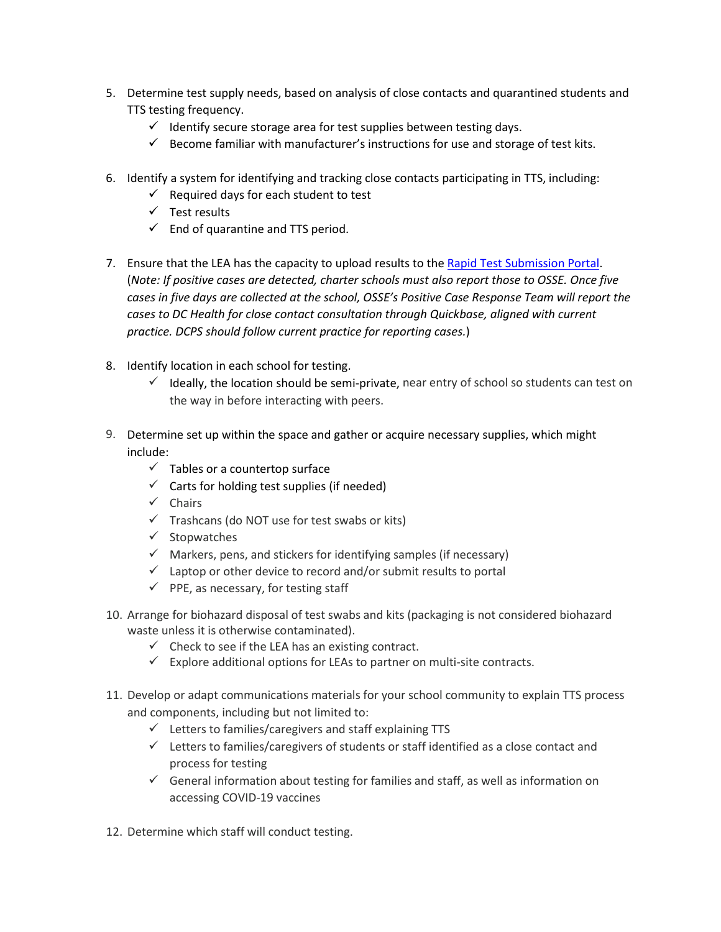- 5. Determine test supply needs, based on analysis of close contacts and quarantined students and TTS testing frequency.
	- $\checkmark$  Identify secure storage area for test supplies between testing days.
	- $\checkmark$  Become familiar with manufacturer's instructions for use and storage of test kits.
- 6. Identify a system for identifying and tracking close contacts participating in TTS, including:
	- $\checkmark$  Required days for each student to test
	- $\checkmark$  Test results
	- $\checkmark$  End of quarantine and TTS period.
- 7. Ensure that the LEA has the capacity to upload results to the [Rapid Test Submission Portal.](https://coronavirus.dc.gov/page/rapid-test-result-submission-portal) (*Note: If positive cases are detected, charter schools must also report those to OSSE. Once five cases in five days are collected at the school, OSSE's Positive Case Response Team will report the cases to DC Health for close contact consultation through Quickbase, aligned with current practice. DCPS should follow current practice for reporting cases.*)
- 8. Identify location in each school for testing.
	- $\checkmark$  Ideally, the location should be semi-private, near entry of school so students can test on the way in before interacting with peers.
- 9. Determine set up within the space and gather or acquire necessary supplies, which might include:
	- $\checkmark$  Tables or a countertop surface
	- $\checkmark$  Carts for holding test supplies (if needed)
	- $\checkmark$  Chairs
	- $\checkmark$  Trashcans (do NOT use for test swabs or kits)
	- $\checkmark$  Stopwatches
	- $\checkmark$  Markers, pens, and stickers for identifying samples (if necessary)
	- $\checkmark$  Laptop or other device to record and/or submit results to portal
	- $\checkmark$  PPE, as necessary, for testing staff
- 10. Arrange for biohazard disposal of test swabs and kits (packaging is not considered biohazard waste unless it is otherwise contaminated).
	- $\checkmark$  Check to see if the LEA has an existing contract.
	- $\checkmark$  Explore additional options for LEAs to partner on multi-site contracts.
- 11. Develop or adapt communications materials for your school community to explain TTS process and components, including but not limited to:
	- $\checkmark$  Letters to families/caregivers and staff explaining TTS
	- $\checkmark$  Letters to families/caregivers of students or staff identified as a close contact and process for testing
	- $\checkmark$  General information about testing for families and staff, as well as information on accessing COVID-19 vaccines
- 12. Determine which staff will conduct testing.